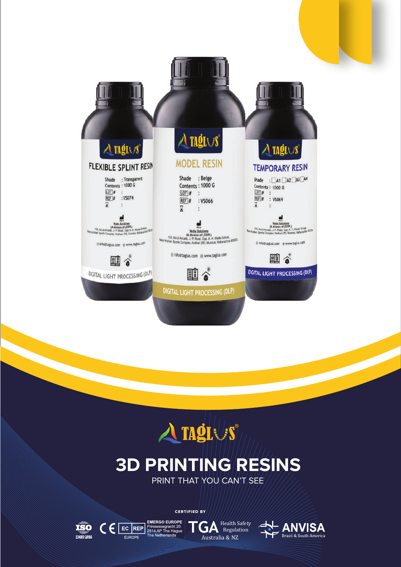



### **3D PRINTING RESINS** PRINT THAT YOU CAN'T SEE

**GA** Health Safety Australia & NZ

CERTIFIED BY

 $\textbf{C} \in \mathbb{E}^{\text{E}}_{\text{Fineope}}$ 

EUROPE

 $\widetilde{\mathbf{150}}_{13485:2016}$ 

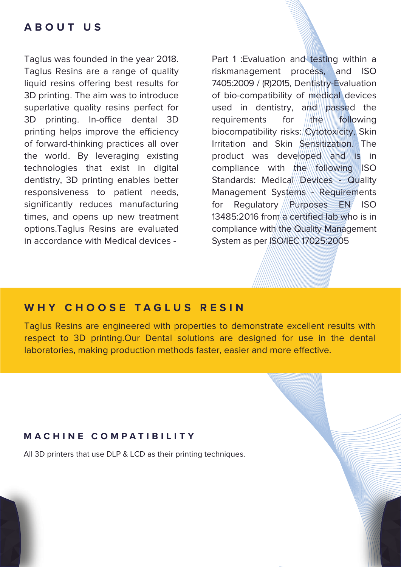#### **ABOUT US**

Taglus was founded in the year 2018. Taglus Resins are a range of quality liquid resins offering best results for 3D printing. The aim was to introduce superlative quality resins perfect for 3D printing. In-office dental 3D printing helps improve the efficiency of forward-thinking practices all over the world. By leveraging existing technologies that exist in digital dentistry, 3D printing enables better responsiveness to patient needs, significantly reduces manufacturing times, and opens up new treatment options.Taglus Resins are evaluated in accordance with Medical devices -

Part 1 : Evaluation and testing within a riskmanagement process, and ISO 7405:2009 / (R)2015, Dentistry-Evaluation of bio-compatibility of medical devices used in dentistry, and passed the requirements for the following biocompatibility risks: Cytotoxicity, Skin Irritation and Skin Sensitization. The product was developed and is in compliance with the following ISO Standards: Medical Devices - Quality Management Systems - Requirements for Regulatory ////Purposes EN ISO 13485:2016 from a certified lab who is in compliance with the Quality Management System as per ISO/IEC 17025:2005

#### **WHY CHOOSE TAGLUS RESIN**

Taglus Resins are engineered with properties to demonstrate excellent results with respect to 3D printing.Our Dental solutions are designed for use in the dental laboratories, making production methods faster, easier and more effective.

#### **MACHINE COMPATIBILITY**

All 3D printers that use DLP & LCD as their printing techniques.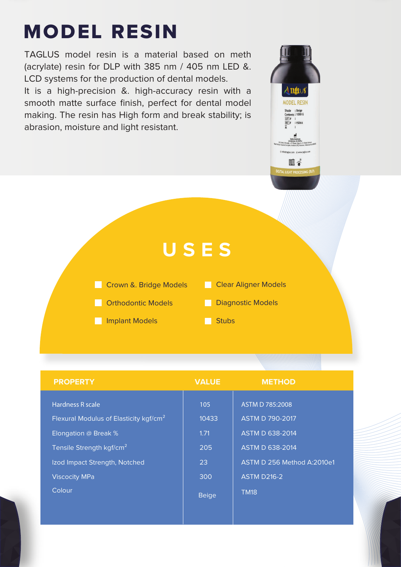# MODEL RESIN

TAGLUS model resin is a material based on meth (acrylate) resin for DLP with 385 nm / 405 nm LED &. LCD systems for the production of dental models. It is a high-precision &. high-accuracy resin with a smooth matte surface finish, perfect for dental model making. The resin has High form and break stability; is abrasion, moisture and light resistant.

### **USES**

- **Crown &. Bridge Models**
- **Clear Aligner Models**

 $\Delta$  tagin **MODEL RESIN** Shade : Beige<br>Contents : 1000 G  $: v$ so 66

> .<br>Staplus.com @www 即ぐ

- **Corthodontic Models**
- **Implant Models**
- **Diagnostic Models**
- Stubs

| <b>PROPERTY</b>                                                                                | <b>VALUE</b>         | <b>METHOD</b>                                                       |
|------------------------------------------------------------------------------------------------|----------------------|---------------------------------------------------------------------|
| Hardness R scale<br>Flexural Modulus of Elasticity kgf/cm <sup>2</sup><br>Elongation @ Break % | 105<br>10433<br>1.71 | ASTM D 785:2008<br><b>ASTM D 790-2017</b><br><b>ASTM D 638-2014</b> |
| Tensile Strength kgf/cm <sup>2</sup>                                                           | 205                  | <b>ASTM D 638-2014</b>                                              |
| Izod Impact Strength, Notched                                                                  | 23                   | ASTM D 256 Method A:2010e1                                          |
| <b>Viscocity MPa</b>                                                                           | 300                  | <b>ASTM D216-2</b>                                                  |
| Colour                                                                                         | <b>Beige</b>         | <b>TM18</b>                                                         |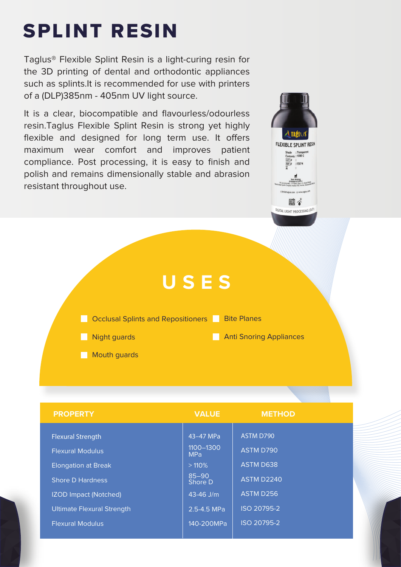## SPLINT RESIN

Taglus® Flexible Splint Resin is a light-curing resin for the 3D printing of dental and orthodontic appliances such as splints.It is recommended for use with printers of a (DLP)385nm - 405nm UV light source.

It is a clear, biocompatible and flavourless/odourless resin.Taglus Flexible Splint Resin is strong yet highly flexible and designed for long term use. It offers maximum wear comfort and improves patient compliance. Post processing, it is easy to finish and polish and remains dimensionally stable and abrasion resistant throughout use.





| <b>PROPERTY</b>                   | <b>VALUE</b>            | <b>METHOD</b>     |
|-----------------------------------|-------------------------|-------------------|
|                                   |                         |                   |
| <b>Flexural Strength</b>          | 43-47 MPa               | ASTM D790         |
| <b>Flexural Modulus</b>           | 1100-1300<br><b>MPa</b> | <b>ASTM D790</b>  |
| <b>Elongation at Break</b>        | >110%                   | <b>ASTM D638</b>  |
| <b>Shore D Hardness</b>           | $85 - 90$<br>Shore D    | <b>ASTM D2240</b> |
| <b>IZOD Impact (Notched)</b>      | $43 - 46$ J/m           | ASTM D256         |
| <b>Ultimate Flexural Strength</b> | 2.5-4.5 MPa             | ISO 20795-2       |
| <b>Flexural Modulus</b>           | 140-200MPa              | ISO 20795-2       |
|                                   |                         |                   |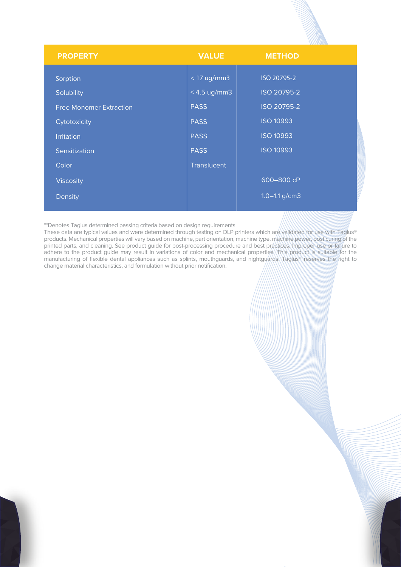|                                |                | ===========       |  |
|--------------------------------|----------------|-------------------|--|
| <b>PROPERTY</b>                | <b>VALUE</b>   | <b>METHOD</b>     |  |
| Sorption                       | $<$ 17 ug/mm3  | ISO 20795-2       |  |
| Solubility                     | $< 4.5$ ug/mm3 | ISO 20795-2       |  |
| <b>Free Monomer Extraction</b> | <b>PASS</b>    | ISO 20795-2       |  |
| Cytotoxicity                   | <b>PASS</b>    | <b>ISO 10993</b>  |  |
| <b>Irritation</b>              | <b>PASS</b>    | <b>ISO 10993</b>  |  |
| Sensitization                  | <b>PASS</b>    | <b>ISO 10993</b>  |  |
| Color                          | Translucent    |                   |  |
| <b>Viscosity</b>               |                | 600-800 cP        |  |
| Density                        |                | $1.0 - 1.1$ g/cm3 |  |
|                                |                |                   |  |

\*\*Denotes Taglus determined passing criteria based on design requirements

These data are typical values and were determined through testing on DLP printers which are validated for use with Taglus® products. Mechanical properties will vary based on machine, part orientation, machine type, machine power, post curing of the printed parts, and cleaning. See product guide for post-processing procedure and best practices. Improper use or failure to adhere to the product guide may result in variations of color and mechanical properties. This product is suitable for the manufacturing of flexible dental appliances such as splints, mouthguards, and nightguards. Taglus® reserves the right to change material characteristics, and formulation without prior notification.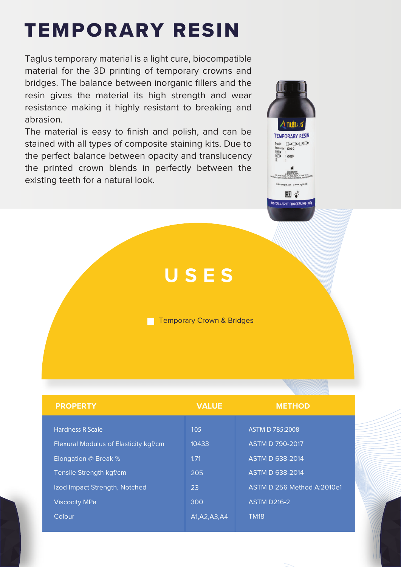# TEMPORARY RESIN

Taglus temporary material is a light cure, biocompatible material for the 3D printing of temporary crowns and bridges. The balance between inorganic fillers and the resin gives the material its high strength and wear resistance making it highly resistant to breaking and abrasion.

The material is easy to finish and polish, and can be stained with all types of composite staining kits. Due to the perfect balance between opacity and translucency the printed crown blends in perfectly between the existing teeth for a natural look.



### **USES**

**Temporary Crown & Bridges** 

| <b>PROPERTY</b>                       | <b>VALUE</b>   | <b>METHOD</b>              |
|---------------------------------------|----------------|----------------------------|
|                                       |                |                            |
| <b>Hardness R Scale</b>               | 105            | ASTM D 785:2008            |
| Flexural Modulus of Elasticity kgf/cm | 10433          | <b>ASTM D 790-2017</b>     |
| Elongation @ Break %                  | 1.71           | <b>ASTM D 638-2014</b>     |
| Tensile Strength kgf/cm               | 205            | <b>ASTM D 638-2014</b>     |
| Izod Impact Strength, Notched         | 23             | ASTM D 256 Method A:2010e1 |
| <b>Viscocity MPa</b>                  | 300            | <b>ASTM D216-2</b>         |
| Colour                                | A1, A2, A3, A4 | <b>TM18</b>                |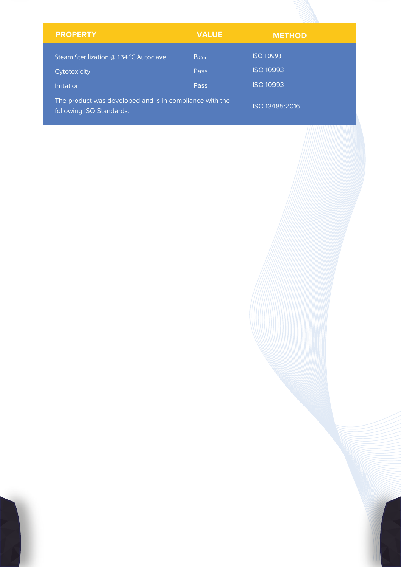| <b>PROPERTY</b>                                                                     | <b>VALUE</b> | <b>METHOD</b>    |
|-------------------------------------------------------------------------------------|--------------|------------------|
| Steam Sterilization @ 134 °C Autoclave                                              | Pass         | ISO 10993        |
| Cytotoxicity                                                                        | Pass         | <b>ISO 10993</b> |
| <b>Irritation</b>                                                                   | Pass         | <b>ISO 10993</b> |
| The product was developed and is in compliance with the<br>following ISO Standards: |              | ISO 13485:2016   |